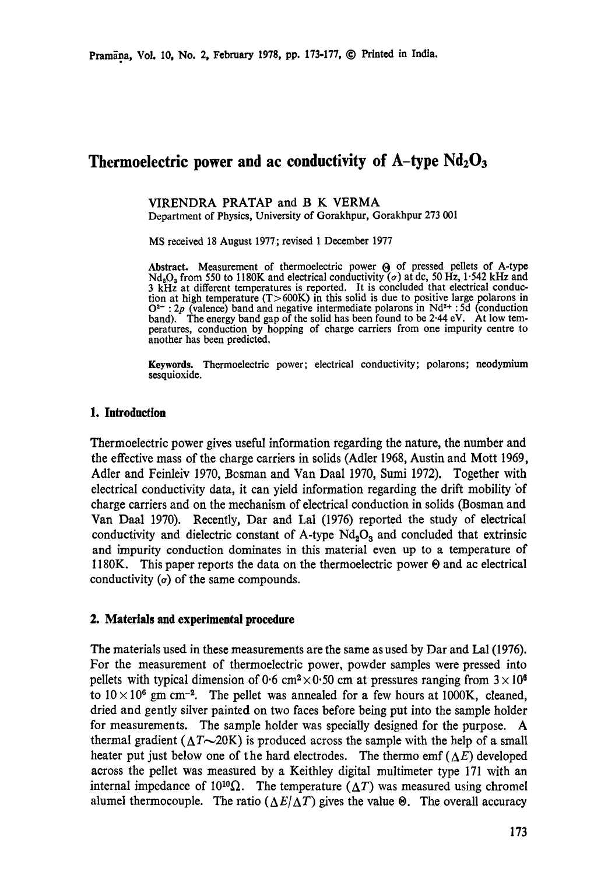# **Thermoelectric power and ac conductivity of A-type Nd203**

VIRENDRA PRATAP and B K VERMA Department of Physics, University of Gorakhpur, Gorakhpur 273 001

MS received 18 August 1977; revised I December 1977

Abstract. Measurement of thermoelectric power  $\Theta$  of pressed pellets of A-type Nd<sub>2</sub>O<sub>3</sub> from 550 to 1180K and electrical conductivity ( $\sigma$ ) at dc, 50 Hz, 1.542 kHz and 3 kHz at different temperatures is reported. It is concluded that electrical conduction at high temperature (T>600K) in this solid is due to positive large polarons in  $O^{2-}$ : 2p (valence) band and negative intermediate polarons in Nd<sup>3+</sup>: 5d (conduction band). The energy band gap of the solid has been found to be 2.44 eV. At low temperatures, conduction by hopping of charge carriers from one impurity centre to another has been predicted.

**Keywords.** Thermoelectric power; electrical conductivity; polarons; neodymium sesquioxide.

### 1. Introduction

Thermoelectric power gives useful information regarding the nature, the number and the effective mass of the charge carriers in solids (Adler 1968, Austin and Mort 1969, Adler and Feinleiv 1970, Bosman and Van Daal 1970, Sumi 1972). Together with electrical conductivity data, it can yield information regarding the drift mobility of charge carriers and on the mechanism of electrical conduction in solids (Bosman and Van Daal 1970). Recently, Dar and Lal (1976) reported the study of electrical conductivity and dielectric constant of A-type  $Nd<sub>2</sub>O<sub>3</sub>$  and concluded that extrinsic and impurity conduction dominates in this material even up to a temperature of 1180K. This paper reports the data on the thermoelectric power  $\Theta$  and ac electrical conductivity  $(\sigma)$  of the same compounds.

#### **2. Materials and experimental procedure**

**The** materials used in these measurements are the same as used by Dar and Lal (1976). For the measurement of thermoelectric power, powder samples were pressed into pellets with typical dimension of 0.6 cm<sup>2</sup> $\times$ 0.50 cm at pressures ranging from  $3\times10^{6}$ to  $10 \times 10^6$  gm cm<sup>-2</sup>. The pellet was annealed for a few hours at 1000K, cleaned, dried and gently silver painted on two faces before being put into the sample holder for measurements. The sample holder was specially designed for the purpose. A thermal gradient ( $\Delta T \sim 20$ K) is produced across the sample with the help of a small heater put just below one of the hard electrodes. The thermo emf ( $\Delta E$ ) developed across the pellet was measured by a Keithley digital multimeter type 171 with an internal impedance of  $10^{10}\Omega$ . The temperature ( $\Delta T$ ) was measured using chromel alumel thermocouple. The ratio  $(\Delta E/\Delta T)$  gives the value  $\Theta$ . The overall accuracy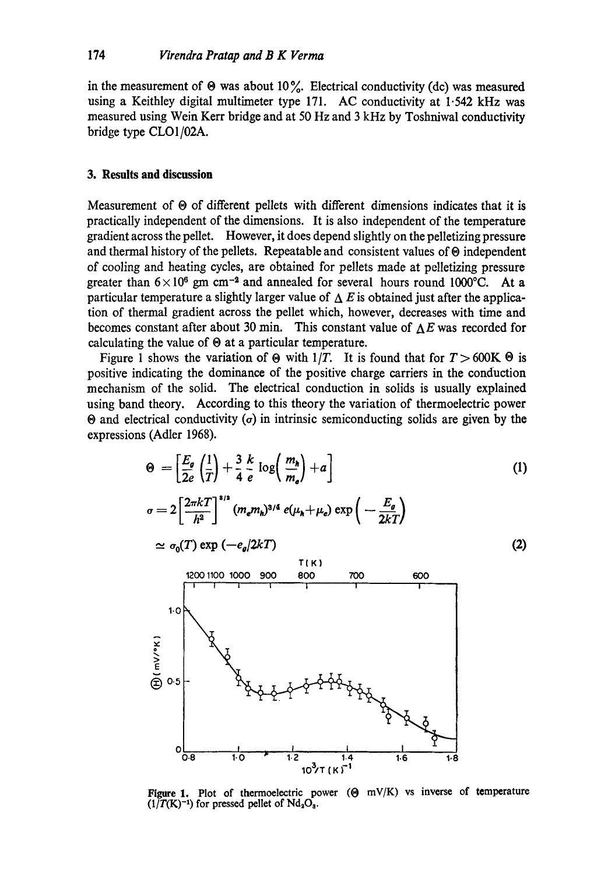in the measurement of  $\Theta$  was about 10%. Electrical conductivity (dc) was measured using a Keithley digital multimeter type 171. AC conductivity at 1.542 kHz **was**  measured using Wein Kerr bridge and at 50 Hz and 3 kHz by Toshniwal conductivity bridge type CLO1/02A.

### **3. Results and discussion**

Measurement of  $\Theta$  of different pellets with different dimensions indicates that it is practically independent of the dimensions. It is also independent of the temperature gradient across the pellet. However, it does depend slightly on the pelletizing pressure and thermal history of the pellets. Repeatable and consistent values of  $\Theta$  independent of cooling and heating cycles, are obtained for pellets made at pelletizing pressure greater than  $6 \times 10^6$  gm cm<sup>-2</sup> and annealed for several hours round 1000°C. At a particular temperature a slightly larger value of  $\Delta E$  is obtained just after the application of thermal gradient across the pellet which, however, decreases with time and becomes constant after about 30 min. This constant value of  $\Delta E$  was recorded for calculating the value of  $\Theta$  at a particular temperature.

Figure 1 shows the variation of  $\Theta$  with  $1/T$ . It is found that for  $T > 600K \Theta$  is positive indicating the dominance of the positive charge carriers in the conduction mechanism of the solid. The electrical conduction in solids is usually explained using band theory. According to this theory the variation of thermoelectric power  $\Theta$  and electrical conductivity ( $\sigma$ ) in intrinsic semiconducting solids are given by the expressions (Adler 1968).



Figure 1. Plot of thermoelectric power  $(\Theta \ mV/K)$  vs inverse of temperature  $(1/T(K)^{-1})$  for pressed pellet of  $Nd_2O_3$ .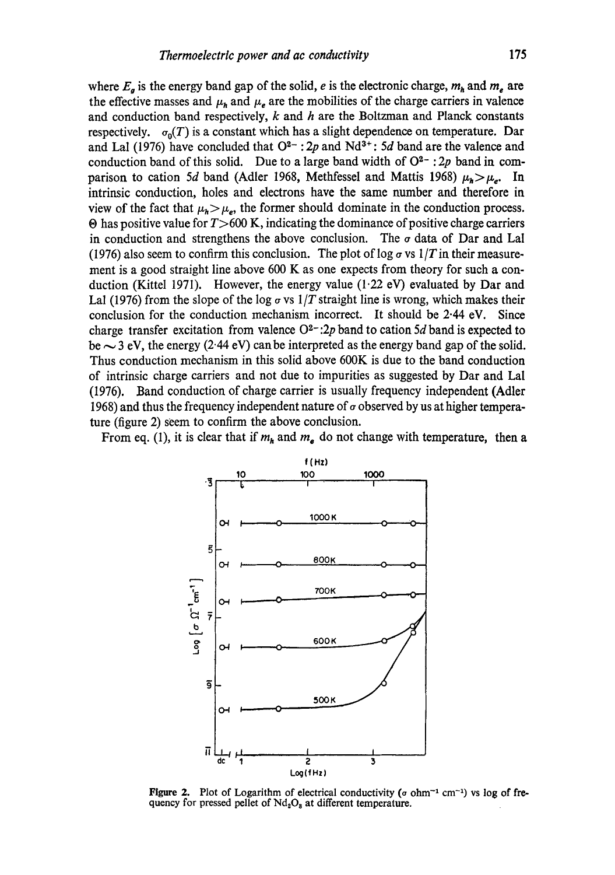where  $E_{q}$  is the energy band gap of the solid, e is the electronic charge,  $m_{h}$  and  $m_{e}$  are the effective masses and  $\mu_h$  and  $\mu_e$  are the mobilities of the charge carriers in valence and conduction band respectively,  $k$  and  $h$  are the Boltzman and Planck constants respectively.  $\sigma_0(T)$  is a constant which has a slight dependence on temperature. Dar and Lal (1976) have concluded that  $O^{2-}$ : 2p and Nd<sup>3+</sup>: 5d band are the valence and conduction band of this solid. Due to a large band width of  $O^{2-}$ : 2p band in comparison to cation 5d band (Adler 1968, Methfessel and Mattis 1968)  $\mu_h > \mu_c$ . In intrinsic conduction, holes and electrons have the same number and therefore in view of the fact that  $\mu_h>\mu_e$ , the former should dominate in the conduction process.  $\Theta$  has positive value for  $T > 600$  K, indicating the dominance of positive charge carriers in conduction and strengthens the above conclusion. The  $\sigma$  data of Dar and Lal (1976) also seem to confirm this conclusion. The plot of log  $\sigma$  vs  $1/T$  in their measurement is a good straight line above 600 K as one expects from theory for such a conduction (Kittel 1971). However, the energy value (1.22 eV) evaluated by Dar and Lal (1976) from the slope of the log  $\sigma$  vs 1/T straight line is wrong, which makes their conclusion for the conduction mechanism incorrect. It should be  $2.44$  eV. Since charge transfer excitation from valence  $O^{2-}$ : 2p band to cation 5d band is expected to be  $\sim$  3 eV, the energy (2.44 eV) can be interpreted as the energy band gap of the solid. Thus conduction mechanism in this solid above 600K is due to the band conduction of intrinsic charge carriers and not due to impurities as suggested by Dar and Lal (1976). Band conduction of charge carrier is usually frequency independent (Adler 1968) and thus the frequency independent nature of  $\sigma$  observed by us at higher temperature (figure 2) seem to confirm the above conclusion.

From eq. (1), it is clear that if  $m_h$  and  $m_e$  do not change with temperature, then a



Figure 2. Plot of Logarithm of electrical conductivity ( $\sigma$  ohm<sup>-1</sup> cm<sup>-1</sup>) vs log of frequency for pressed pellet of  $Nd_2O_8$  at different temperature.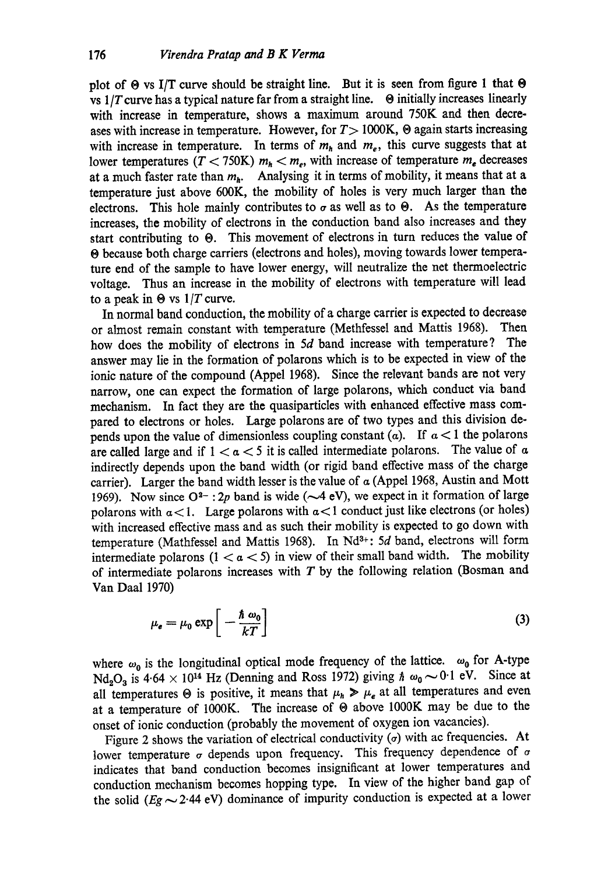plot of  $\Theta$  vs I/T curve should be straight line. But it is seen from figure 1 that  $\Theta$ vs  $1/T$  curve has a typical nature far from a straight line.  $\Theta$  initially increases linearly with increase in temperature, shows a maximum around 750K and then decreases with increase in temperature. However, for  $T>1000K$ ,  $\Theta$  again starts increasing with increase in temperature. In terms of  $m_h$  and  $m_e$ , this curve suggests that at lower temperatures ( $T < 750$ K)  $m_h < m_e$ , with increase of temperature  $m_e$  decreases at a much faster rate than  $m_h$ . Analysing it in terms of mobility, it means that at a temperature just above 600K, the mobility of holes is very much larger than the electrons. This hole mainly contributes to  $\sigma$  as well as to  $\Theta$ . As the temperature increases, the mobility of electrons in the conduction band also increases and they start contributing to  $\Theta$ . This movement of electrons in turn reduces the value of O because both charge carriers (electrons and holes), moving towards lower temperature end of the sample to have lower energy, will neutralize the net thermoelectric voltage. Thus an increase in the mobility of electrons with temperature will lead to a peak in  $\Theta$  vs  $1/T$  curve.

In normal band conduction, the mobility of a charge carrier is expected to decrease or almost remain constant with temperature (Methfessel and Mattis 1968). Then how does the mobility of electrons in 5d band increase with temperature? The answer may lie in the formation of polarons which is to be expected in view of the ionic nature of the compound (Appel 1968). Since the relevant bands are not very narrow, one can expect the formation of large polarons, which conduct via band mechanism. In fact they are the quasiparticles with enhanced effective mass compared to electrons or holes. Large polarons are of two types and this division depends upon the value of dimensionless coupling constant  $(a)$ . If  $a < 1$  the polarons are called large and if  $1 < a < 5$  it is called intermediate polarons. The value of a indirectly depends upon the band width (or rigid band effective mass of the charge carrier). Larger the band width lesser is the value of  $\alpha$  (Appel 1968, Austin and Mott 1969). Now since  $O^{2-}$ : 2p band is wide ( $\sim$ 4 eV), we expect in it formation of large polarons with  $a < 1$ . Large polarons with  $a < 1$  conduct just like electrons (or holes) with increased effective mass and as such their mobility is expected to go down with temperature (Mathfessel and Mattis 1968). In Nd<sup>3+</sup>: 5d band, electrons will form intermediate polarons  $(1 < a < 5)$  in view of their small band width. The mobility of intermediate polarons increases with  $T$  by the following relation (Bosman and Van Daal 1970)

$$
\mu_{e} = \mu_{0} \exp\left[-\frac{\hbar \omega_{0}}{kT}\right]
$$
\n(3)

where  $\omega_0$  is the longitudinal optical mode frequency of the lattice.  $\omega_0$  for A-type  $Nd_2O_3$  is 4.64  $\times$  10<sup>14</sup> Hz (Denning and Ross 1972) giving  $\hbar \omega_0 \sim 0.1$  eV. Since at all temperatures  $\Theta$  is positive, it means that  $\mu_h > \mu_e$  at all temperatures and even at a temperature of 1000K. The increase of  $\Theta$  above 1000K may be due to the onset of ionic conduction (probably the movement of oxygen ion vacancies).

Figure 2 shows the variation of electrical conductivity  $(\sigma)$  with ac frequencies. At lower temperature  $\sigma$  depends upon frequency. This frequency dependence of  $\sigma$ indicates that band conduction becomes insignificant at lower temperatures and conduction mechanism becomes hopping type. In view of the higher band gap of the solid  $(Eg \sim 2.44 \text{ eV})$  dominance of impurity conduction is expected at a lower